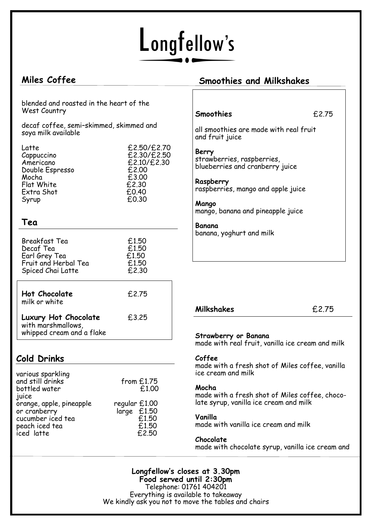# Longfellow's

# **Miles Coffee**

## **Smoothies and Milkshakes**

blended and roasted in the heart of the West Country

decaf coffee, semi–skimmed, skimmed and soya milk available

| Latte           | £2,50/£2,70 |
|-----------------|-------------|
| Cappuccino      | £2,30/£2,50 |
| Americano       | £2.10/£2.30 |
| Double Espresso | £2.00       |
| Mocha           | £3.00       |
| Flat White      | £2.30       |
| Extra Shot      | £0.40       |
| Syrup           | £0.30       |

## **Tea**

| Breakfast Tea<br>Decaf Tea<br>Earl Grey Tea<br>Fruit and Herbal Tea<br>Spiced Chai Latte | £1.50<br>£1.50<br>£1.50<br>£1.50<br>£2.30 |
|------------------------------------------------------------------------------------------|-------------------------------------------|
| <b>Hot Chocolate</b><br>milk or white                                                    | £2.75                                     |
| Luxury Hot Chocolate<br>with marshmallows,<br>whipped cream and a flake                  | £3.25                                     |

# **Cold Drinks**

| various sparkling<br>and still drinks<br>bottled water<br>juice | from $£1.75$<br>£1.00        |
|-----------------------------------------------------------------|------------------------------|
| orange, apple, pineapple                                        | regular £1.00<br>large £1.50 |
| or cranberry                                                    | £1.50                        |
| cucumber iced tea                                               | £1.50                        |
| peach iced tea<br>iced latte                                    | f.2.50                       |

### **Smoothies** £2.75

all smoothies are made with real fruit and fruit juice

## **Berry**

strawberries, raspberries, blueberries and cranberry juice

**Raspberry**  raspberries, mango and apple juice

**Mango**  mango, banana and pineapple juice

**Banana**  banana, yoghurt and milk

#### **Milkshakes** £2.75

#### **Strawberry or Banana**

made with real fruit, vanilla ice cream and milk

#### **Coffee**

made with a fresh shot of Miles coffee, vanilla ice cream and milk

#### **Mocha**

made with a fresh shot of Miles coffee, chocolate syrup, vanilla ice cream and milk

#### **Vanilla**

made with vanilla ice cream and milk

#### **Chocolate**

made with chocolate syrup, vanilla ice cream and

**Longfellow's closes at 3.30pm Food served until 2:30pm** Telephone: 01761 404201 Everything is available to takeaway We kindly ask you not to move the tables and chairs